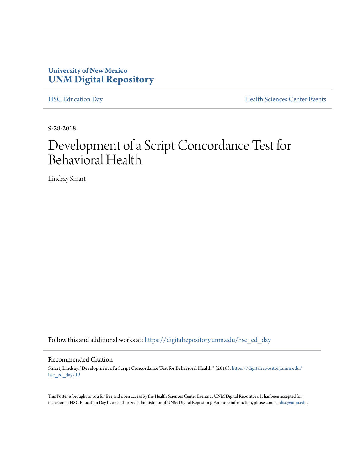#### **University of New Mexico [UNM Digital Repository](https://digitalrepository.unm.edu?utm_source=digitalrepository.unm.edu%2Fhsc_ed_day%2F19&utm_medium=PDF&utm_campaign=PDFCoverPages)**

[HSC Education Day](https://digitalrepository.unm.edu/hsc_ed_day?utm_source=digitalrepository.unm.edu%2Fhsc_ed_day%2F19&utm_medium=PDF&utm_campaign=PDFCoverPages) **[Health Sciences Center Events](https://digitalrepository.unm.edu/hsc_events?utm_source=digitalrepository.unm.edu%2Fhsc_ed_day%2F19&utm_medium=PDF&utm_campaign=PDFCoverPages)** 

9-28-2018

#### Development of a Script Concordance Test for Behavioral Health

Lindsay Smart

Follow this and additional works at: [https://digitalrepository.unm.edu/hsc\\_ed\\_day](https://digitalrepository.unm.edu/hsc_ed_day?utm_source=digitalrepository.unm.edu%2Fhsc_ed_day%2F19&utm_medium=PDF&utm_campaign=PDFCoverPages)

#### Recommended Citation

Smart, Lindsay. "Development of a Script Concordance Test for Behavioral Health." (2018). [https://digitalrepository.unm.edu/](https://digitalrepository.unm.edu/hsc_ed_day/19?utm_source=digitalrepository.unm.edu%2Fhsc_ed_day%2F19&utm_medium=PDF&utm_campaign=PDFCoverPages) [hsc\\_ed\\_day/19](https://digitalrepository.unm.edu/hsc_ed_day/19?utm_source=digitalrepository.unm.edu%2Fhsc_ed_day%2F19&utm_medium=PDF&utm_campaign=PDFCoverPages)

This Poster is brought to you for free and open access by the Health Sciences Center Events at UNM Digital Repository. It has been accepted for inclusion in HSC Education Day by an authorized administrator of UNM Digital Repository. For more information, please contact [disc@unm.edu](mailto:disc@unm.edu).